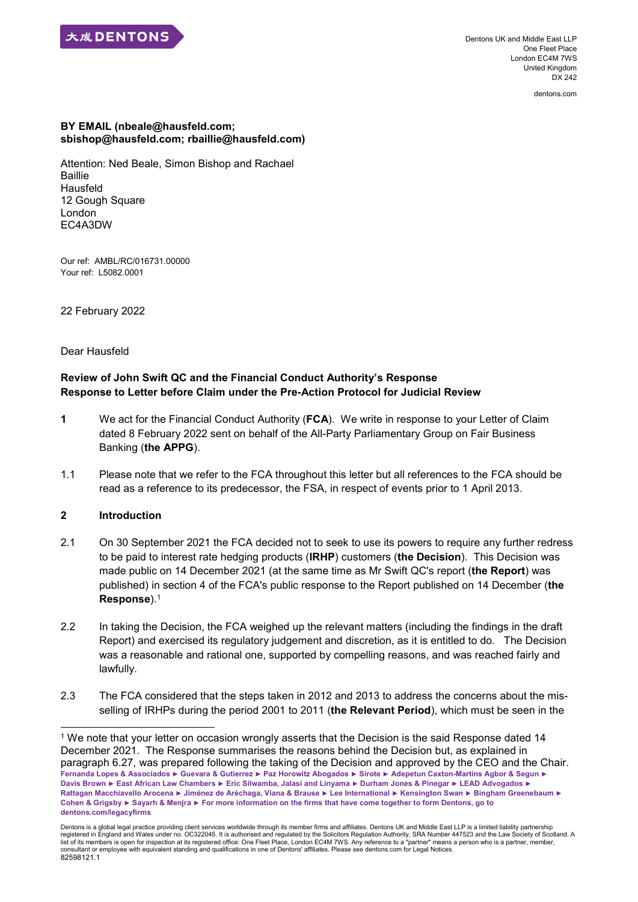

Dentons UK and Middle East LLP One Fleet Place London EC4M 7WS United Kingdom DX 242

dentons.com

#### **BY EMAIL (nbeale@hausfeld.com; sbishop@hausfeld.com; rbaillie@hausfeld.com)**

Attention: Ned Beale, Simon Bishop and Rachael **Baillie** Hausfeld 12 Gough Square London EC4A3DW

Our ref: AMBL/RC/016731.00000 Your ref: L5082.0001

22 February 2022

Dear Hausfeld

# **Review of John Swift QC and the Financial Conduct Authority's Response Response to Letter before Claim under the Pre-Action Protocol for Judicial Review**

- **1** We act for the Financial Conduct Authority (**FCA**). We write in response to your Letter of Claim dated 8 February 2022 sent on behalf of the All-Party Parliamentary Group on Fair Business Banking (**the APPG**).
- 1.1 Please note that we refer to the FCA throughout this letter but all references to the FCA should be read as a reference to its predecessor, the FSA, in respect of events prior to 1 April 2013.

## **2 Introduction**

- 2.1 On 30 September 2021 the FCA decided not to seek to use its powers to require any further redress to be paid to interest rate hedging products (**IRHP**) customers (**the Decision**). This Decision was made public on 14 December 2021 (at the same time as Mr Swift QC's report (**the Report**) was published) in section 4 of the FCA's public response to the Report published on 14 December (**the Response**).<sup>1</sup>
- 2.2 In taking the Decision, the FCA weighed up the relevant matters (including the findings in the draft Report) and exercised its regulatory judgement and discretion, as it is entitled to do. The Decision was a reasonable and rational one, supported by compelling reasons, and was reached fairly and lawfully.
- 2.3 The FCA considered that the steps taken in 2012 and 2013 to address the concerns about the misselling of IRHPs during the period 2001 to 2011 (**the Relevant Period**), which must be seen in the

**Fernanda Lopes & Associados ► Guevara & Gutierrez ► Paz Horowitz Abogados ► Sirote ► Adepetun Caxton-Martins Agbor & Segun ► Davis Brown ► East African Law Chambers ► Eric Silwamba, Jalasi and Linyama ► Durham Jones & Pinegar ► LEAD Advogados ► Rattagan Macchiavello Arocena ► Jiménez de Aréchaga, Viana & Brause ► Lee International ► Kensington Swan ► Bingham Greenebaum ► Cohen & Grigsby ► Sayarh & Menjra ► For more information on the firms that have come together to form Dentons, go to dentons.com/legacyfirms**  1 We note that your letter on occasion wrongly asserts that the Decision is the said Response dated 14 December 2021. The Response summarises the reasons behind the Decision but, as explained in paragraph 6.27, was prepared following the taking of the Decision and approved by the CEO and the Chair.

Dentons is a global legal practice providing client services worldwide through its member firms and affiliates. Dentons UK and Middle East LLP is a limited liability partnership registered in England and Wales under no. OC322045. It is authorised and regulated by the Solicitors Regulation Authority, SRA Number 447523 and the Law Society of Scotland. A<br>list of its members is open for inspection at consultant or employee with equivalent standing and qualifications in one of Dentons' affiliates. Please see dentons.com for Legal Notices. 82598121.1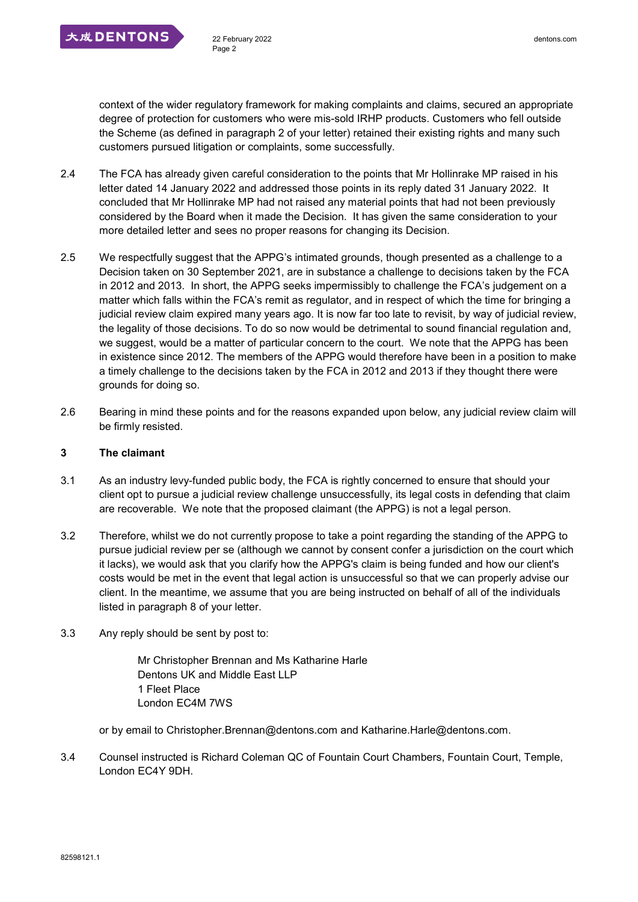

context of the wider regulatory framework for making complaints and claims, secured an appropriate degree of protection for customers who were mis-sold IRHP products. Customers who fell outside the Scheme (as defined in paragraph 2 of your letter) retained their existing rights and many such customers pursued litigation or complaints, some successfully.

- 2.4 The FCA has already given careful consideration to the points that Mr Hollinrake MP raised in his letter dated 14 January 2022 and addressed those points in its reply dated 31 January 2022. It concluded that Mr Hollinrake MP had not raised any material points that had not been previously considered by the Board when it made the Decision. It has given the same consideration to your more detailed letter and sees no proper reasons for changing its Decision.
- 2.5 We respectfully suggest that the APPG's intimated grounds, though presented as a challenge to a Decision taken on 30 September 2021, are in substance a challenge to decisions taken by the FCA in 2012 and 2013. In short, the APPG seeks impermissibly to challenge the FCA's judgement on a matter which falls within the FCA's remit as regulator, and in respect of which the time for bringing a judicial review claim expired many years ago. It is now far too late to revisit, by way of judicial review, the legality of those decisions. To do so now would be detrimental to sound financial regulation and, we suggest, would be a matter of particular concern to the court. We note that the APPG has been in existence since 2012. The members of the APPG would therefore have been in a position to make a timely challenge to the decisions taken by the FCA in 2012 and 2013 if they thought there were grounds for doing so.
- 2.6 Bearing in mind these points and for the reasons expanded upon below, any judicial review claim will be firmly resisted.

## **3 The claimant**

- 3.1 As an industry levy-funded public body, the FCA is rightly concerned to ensure that should your client opt to pursue a judicial review challenge unsuccessfully, its legal costs in defending that claim are recoverable. We note that the proposed claimant (the APPG) is not a legal person.
- 3.2 Therefore, whilst we do not currently propose to take a point regarding the standing of the APPG to pursue judicial review per se (although we cannot by consent confer a jurisdiction on the court which it lacks), we would ask that you clarify how the APPG's claim is being funded and how our client's costs would be met in the event that legal action is unsuccessful so that we can properly advise our client. In the meantime, we assume that you are being instructed on behalf of all of the individuals listed in paragraph 8 of your letter.
- 3.3 Any reply should be sent by post to:

Mr Christopher Brennan and Ms Katharine Harle Dentons UK and Middle East LLP 1 Fleet Place London EC4M 7WS

or by email to Christopher.Brennan@dentons.com and Katharine.Harle@dentons.com.

3.4 Counsel instructed is Richard Coleman QC of Fountain Court Chambers, Fountain Court, Temple, London EC4Y 9DH.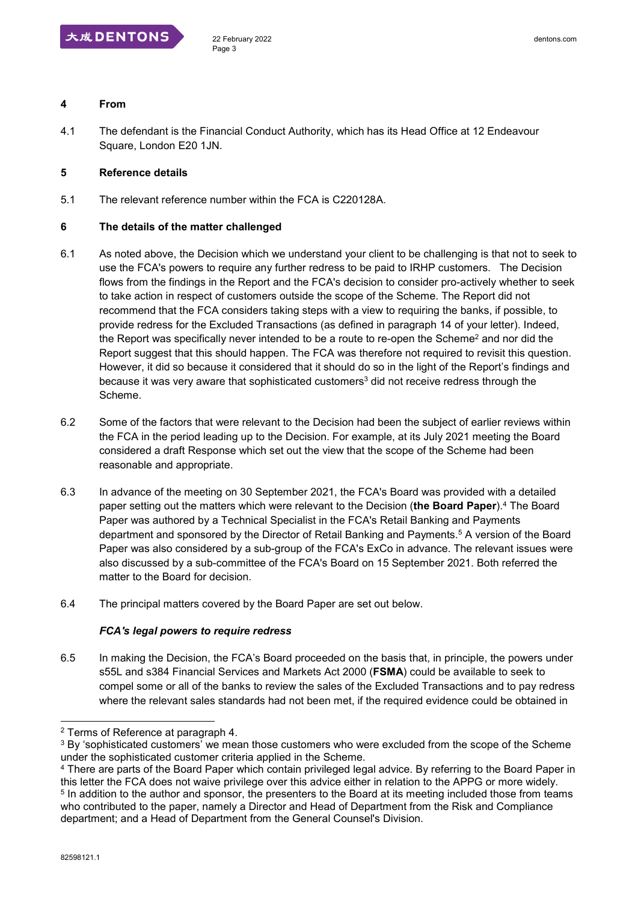

#### **4 From**

4.1 The defendant is the Financial Conduct Authority, which has its Head Office at 12 Endeavour Square, London E20 1JN.

#### **5 Reference details**

5.1 The relevant reference number within the FCA is C220128A.

#### **6 The details of the matter challenged**

- 6.1 As noted above, the Decision which we understand your client to be challenging is that not to seek to use the FCA's powers to require any further redress to be paid to IRHP customers. The Decision flows from the findings in the Report and the FCA's decision to consider pro-actively whether to seek to take action in respect of customers outside the scope of the Scheme. The Report did not recommend that the FCA considers taking steps with a view to requiring the banks, if possible, to provide redress for the Excluded Transactions (as defined in paragraph 14 of your letter). Indeed, the Report was specifically never intended to be a route to re-open the Scheme<sup>2</sup> and nor did the Report suggest that this should happen. The FCA was therefore not required to revisit this question. However, it did so because it considered that it should do so in the light of the Report's findings and because it was very aware that sophisticated customers<sup>3</sup> did not receive redress through the Scheme.
- 6.2 Some of the factors that were relevant to the Decision had been the subject of earlier reviews within the FCA in the period leading up to the Decision. For example, at its July 2021 meeting the Board considered a draft Response which set out the view that the scope of the Scheme had been reasonable and appropriate.
- 6.3 In advance of the meeting on 30 September 2021, the FCA's Board was provided with a detailed paper setting out the matters which were relevant to the Decision (**the Board Paper**).<sup>4</sup> The Board Paper was authored by a Technical Specialist in the FCA's Retail Banking and Payments department and sponsored by the Director of Retail Banking and Payments.<sup>5</sup> A version of the Board Paper was also considered by a sub-group of the FCA's ExCo in advance. The relevant issues were also discussed by a sub-committee of the FCA's Board on 15 September 2021. Both referred the matter to the Board for decision.
- 6.4 The principal matters covered by the Board Paper are set out below.

#### *FCA's legal powers to require redress*

6.5 In making the Decision, the FCA's Board proceeded on the basis that, in principle, the powers under s55L and s384 Financial Services and Markets Act 2000 (**FSMA**) could be available to seek to compel some or all of the banks to review the sales of the Excluded Transactions and to pay redress where the relevant sales standards had not been met, if the required evidence could be obtained in

<sup>2</sup> Terms of Reference at paragraph 4.

 $3$  By 'sophisticated customers' we mean those customers who were excluded from the scope of the Scheme under the sophisticated customer criteria applied in the Scheme.

<sup>4</sup> There are parts of the Board Paper which contain privileged legal advice. By referring to the Board Paper in this letter the FCA does not waive privilege over this advice either in relation to the APPG or more widely. <sup>5</sup> In addition to the author and sponsor, the presenters to the Board at its meeting included those from teams who contributed to the paper, namely a Director and Head of Department from the Risk and Compliance department; and a Head of Department from the General Counsel's Division.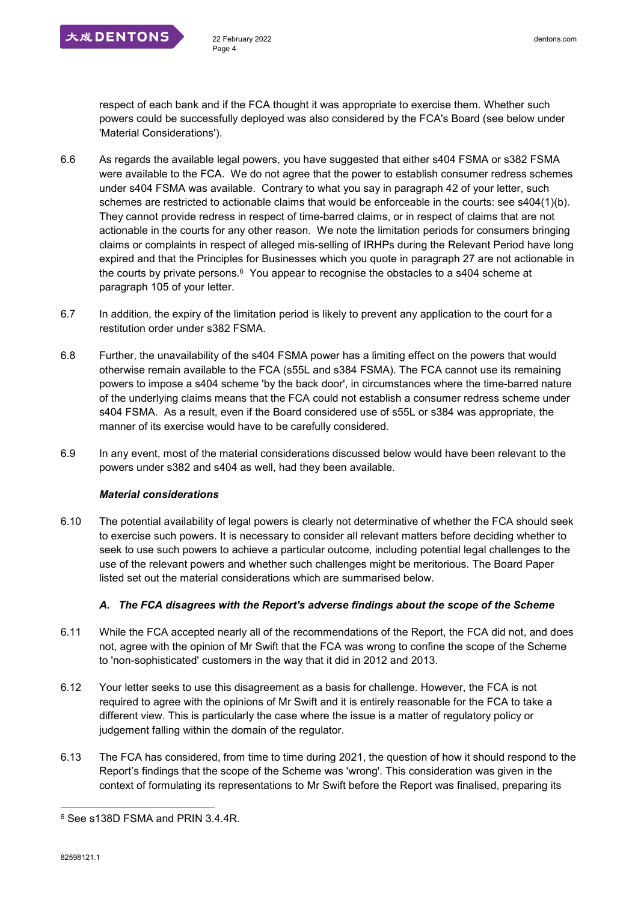respect of each bank and if the FCA thought it was appropriate to exercise them. Whether such powers could be successfully deployed was also considered by the FCA's Board (see below under 'Material Considerations').

- 6.6 As regards the available legal powers, you have suggested that either s404 FSMA or s382 FSMA were available to the FCA. We do not agree that the power to establish consumer redress schemes under s404 FSMA was available. Contrary to what you say in paragraph 42 of your letter, such schemes are restricted to actionable claims that would be enforceable in the courts: see s404(1)(b). They cannot provide redress in respect of time-barred claims, or in respect of claims that are not actionable in the courts for any other reason. We note the limitation periods for consumers bringing claims or complaints in respect of alleged mis-selling of IRHPs during the Relevant Period have long expired and that the Principles for Businesses which you quote in paragraph 27 are not actionable in the courts by private persons. $6$  You appear to recognise the obstacles to a s404 scheme at paragraph 105 of your letter.
- 6.7 In addition, the expiry of the limitation period is likely to prevent any application to the court for a restitution order under s382 FSMA.
- 6.8 Further, the unavailability of the s404 FSMA power has a limiting effect on the powers that would otherwise remain available to the FCA (s55L and s384 FSMA). The FCA cannot use its remaining powers to impose a s404 scheme 'by the back door', in circumstances where the time-barred nature of the underlying claims means that the FCA could not establish a consumer redress scheme under s404 FSMA. As a result, even if the Board considered use of s55L or s384 was appropriate, the manner of its exercise would have to be carefully considered.
- 6.9 In any event, most of the material considerations discussed below would have been relevant to the powers under s382 and s404 as well, had they been available.

## *Material considerations*

6.10 The potential availability of legal powers is clearly not determinative of whether the FCA should seek to exercise such powers. It is necessary to consider all relevant matters before deciding whether to seek to use such powers to achieve a particular outcome, including potential legal challenges to the use of the relevant powers and whether such challenges might be meritorious. The Board Paper listed set out the material considerations which are summarised below.

## *A. The FCA disagrees with the Report's adverse findings about the scope of the Scheme*

- 6.11 While the FCA accepted nearly all of the recommendations of the Report, the FCA did not, and does not, agree with the opinion of Mr Swift that the FCA was wrong to confine the scope of the Scheme to 'non-sophisticated' customers in the way that it did in 2012 and 2013.
- 6.12 Your letter seeks to use this disagreement as a basis for challenge. However, the FCA is not required to agree with the opinions of Mr Swift and it is entirely reasonable for the FCA to take a different view. This is particularly the case where the issue is a matter of regulatory policy or judgement falling within the domain of the regulator.
- 6.13 The FCA has considered, from time to time during 2021, the question of how it should respond to the Report's findings that the scope of the Scheme was 'wrong'. This consideration was given in the context of formulating its representations to Mr Swift before the Report was finalised, preparing its

<sup>6</sup> See s138D FSMA and PRIN 3.4.4R.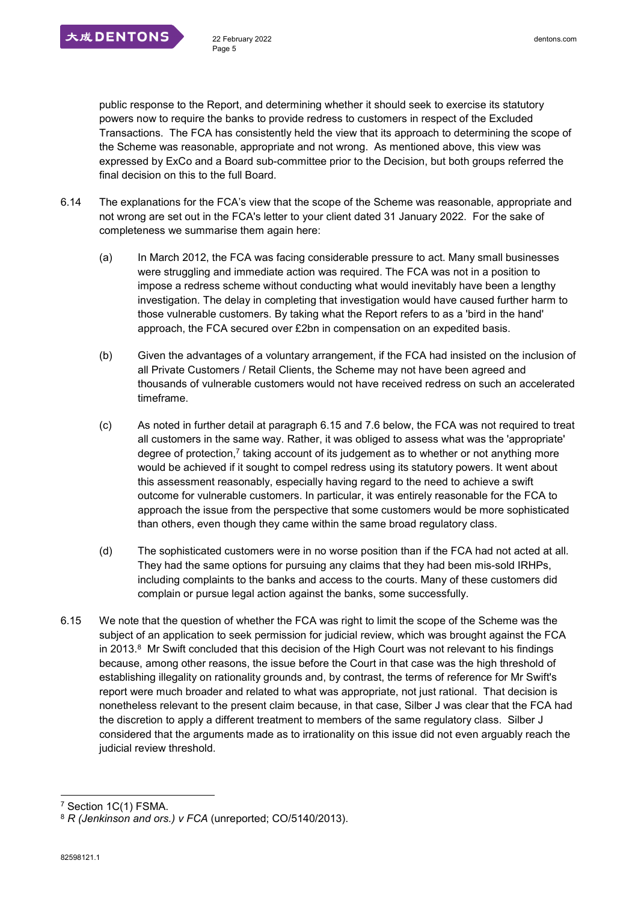

public response to the Report, and determining whether it should seek to exercise its statutory powers now to require the banks to provide redress to customers in respect of the Excluded Transactions. The FCA has consistently held the view that its approach to determining the scope of the Scheme was reasonable, appropriate and not wrong. As mentioned above, this view was expressed by ExCo and a Board sub-committee prior to the Decision, but both groups referred the final decision on this to the full Board.

- 6.14 The explanations for the FCA's view that the scope of the Scheme was reasonable, appropriate and not wrong are set out in the FCA's letter to your client dated 31 January 2022. For the sake of completeness we summarise them again here:
	- (a) In March 2012, the FCA was facing considerable pressure to act. Many small businesses were struggling and immediate action was required. The FCA was not in a position to impose a redress scheme without conducting what would inevitably have been a lengthy investigation. The delay in completing that investigation would have caused further harm to those vulnerable customers. By taking what the Report refers to as a 'bird in the hand' approach, the FCA secured over £2bn in compensation on an expedited basis.
	- (b) Given the advantages of a voluntary arrangement, if the FCA had insisted on the inclusion of all Private Customers / Retail Clients, the Scheme may not have been agreed and thousands of vulnerable customers would not have received redress on such an accelerated timeframe.
	- (c) As noted in further detail at paragraph 6.15 and 7.6 below, the FCA was not required to treat all customers in the same way. Rather, it was obliged to assess what was the 'appropriate' degree of protection,<sup>7</sup> taking account of its judgement as to whether or not anything more would be achieved if it sought to compel redress using its statutory powers. It went about this assessment reasonably, especially having regard to the need to achieve a swift outcome for vulnerable customers. In particular, it was entirely reasonable for the FCA to approach the issue from the perspective that some customers would be more sophisticated than others, even though they came within the same broad regulatory class.
	- (d) The sophisticated customers were in no worse position than if the FCA had not acted at all. They had the same options for pursuing any claims that they had been mis-sold IRHPs, including complaints to the banks and access to the courts. Many of these customers did complain or pursue legal action against the banks, some successfully.
- 6.15 We note that the question of whether the FCA was right to limit the scope of the Scheme was the subject of an application to seek permission for judicial review, which was brought against the FCA in 2013.<sup>8</sup> Mr Swift concluded that this decision of the High Court was not relevant to his findings because, among other reasons, the issue before the Court in that case was the high threshold of establishing illegality on rationality grounds and, by contrast, the terms of reference for Mr Swift's report were much broader and related to what was appropriate, not just rational. That decision is nonetheless relevant to the present claim because, in that case, Silber J was clear that the FCA had the discretion to apply a different treatment to members of the same regulatory class. Silber J considered that the arguments made as to irrationality on this issue did not even arguably reach the judicial review threshold.

<sup>7</sup> Section 1C(1) FSMA.

<sup>8</sup> *R (Jenkinson and ors.) v FCA* (unreported; CO/5140/2013).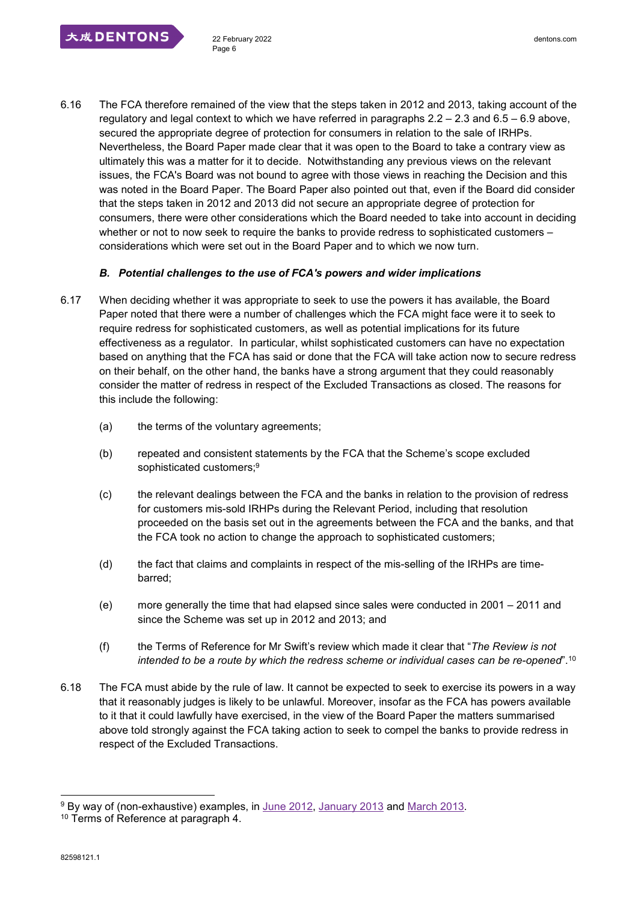6.16 The FCA therefore remained of the view that the steps taken in 2012 and 2013, taking account of the regulatory and legal context to which we have referred in paragraphs 2.2 – 2.3 and 6.5 – 6.9 above, secured the appropriate degree of protection for consumers in relation to the sale of IRHPs. Nevertheless, the Board Paper made clear that it was open to the Board to take a contrary view as ultimately this was a matter for it to decide. Notwithstanding any previous views on the relevant issues, the FCA's Board was not bound to agree with those views in reaching the Decision and this was noted in the Board Paper. The Board Paper also pointed out that, even if the Board did consider that the steps taken in 2012 and 2013 did not secure an appropriate degree of protection for consumers, there were other considerations which the Board needed to take into account in deciding whether or not to now seek to require the banks to provide redress to sophisticated customers considerations which were set out in the Board Paper and to which we now turn.

## *B. Potential challenges to the use of FCA's powers and wider implications*

- 6.17 When deciding whether it was appropriate to seek to use the powers it has available, the Board Paper noted that there were a number of challenges which the FCA might face were it to seek to require redress for sophisticated customers, as well as potential implications for its future effectiveness as a regulator. In particular, whilst sophisticated customers can have no expectation based on anything that the FCA has said or done that the FCA will take action now to secure redress on their behalf, on the other hand, the banks have a strong argument that they could reasonably consider the matter of redress in respect of the Excluded Transactions as closed. The reasons for this include the following:
	- (a) the terms of the voluntary agreements;
	- (b) repeated and consistent statements by the FCA that the Scheme's scope excluded sophisticated customers;<sup>9</sup>
	- (c) the relevant dealings between the FCA and the banks in relation to the provision of redress for customers mis-sold IRHPs during the Relevant Period, including that resolution proceeded on the basis set out in the agreements between the FCA and the banks, and that the FCA took no action to change the approach to sophisticated customers;
	- (d) the fact that claims and complaints in respect of the mis-selling of the IRHPs are timebarred;
	- (e) more generally the time that had elapsed since sales were conducted in 2001 2011 and since the Scheme was set up in 2012 and 2013; and
	- (f) the Terms of Reference for Mr Swift's review which made it clear that "*The Review is not intended to be a route by which the redress scheme or individual cases can be re-opened*".<sup>10</sup>
- 6.18 The FCA must abide by the rule of law. It cannot be expected to seek to exercise its powers in a way that it reasonably judges is likely to be unlawful. Moreover, insofar as the FCA has powers available to it that it could lawfully have exercised, in the view of the Board Paper the matters summarised above told strongly against the FCA taking action to seek to compel the banks to provide redress in respect of the Excluded Transactions.

<sup>&</sup>lt;sup>9</sup> By way of (non-exhaustive) examples, in <u>June 2012, January 2013</u> and <u>March 2013</u>.

<sup>&</sup>lt;sup>10</sup> Terms of Reference at paragraph 4.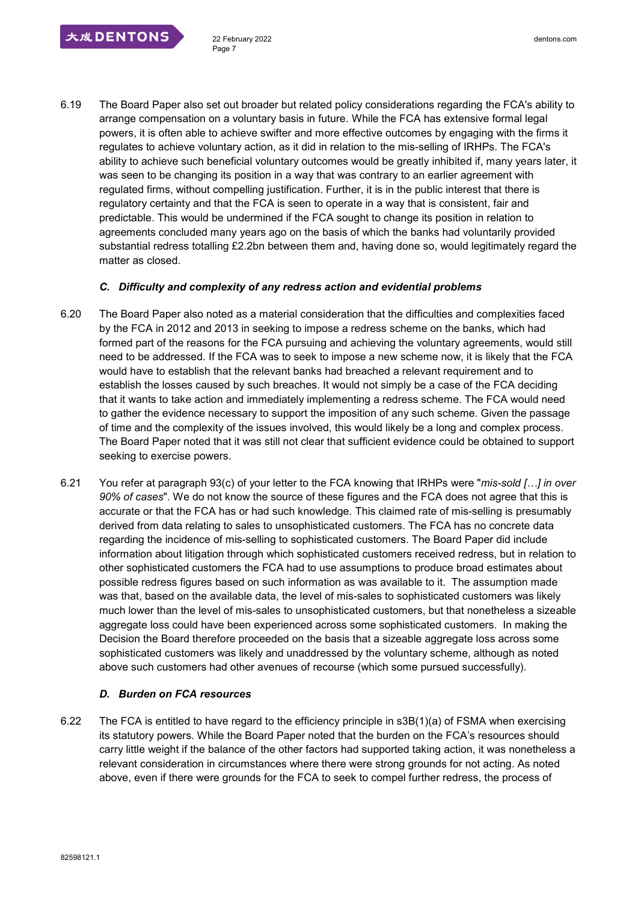6.19 The Board Paper also set out broader but related policy considerations regarding the FCA's ability to arrange compensation on a voluntary basis in future. While the FCA has extensive formal legal powers, it is often able to achieve swifter and more effective outcomes by engaging with the firms it regulates to achieve voluntary action, as it did in relation to the mis-selling of IRHPs. The FCA's ability to achieve such beneficial voluntary outcomes would be greatly inhibited if, many years later, it was seen to be changing its position in a way that was contrary to an earlier agreement with regulated firms, without compelling justification. Further, it is in the public interest that there is regulatory certainty and that the FCA is seen to operate in a way that is consistent, fair and predictable. This would be undermined if the FCA sought to change its position in relation to agreements concluded many years ago on the basis of which the banks had voluntarily provided substantial redress totalling £2.2bn between them and, having done so, would legitimately regard the matter as closed.

#### *C. Difficulty and complexity of any redress action and evidential problems*

- 6.20 The Board Paper also noted as a material consideration that the difficulties and complexities faced by the FCA in 2012 and 2013 in seeking to impose a redress scheme on the banks, which had formed part of the reasons for the FCA pursuing and achieving the voluntary agreements, would still need to be addressed. If the FCA was to seek to impose a new scheme now, it is likely that the FCA would have to establish that the relevant banks had breached a relevant requirement and to establish the losses caused by such breaches. It would not simply be a case of the FCA deciding that it wants to take action and immediately implementing a redress scheme. The FCA would need to gather the evidence necessary to support the imposition of any such scheme. Given the passage of time and the complexity of the issues involved, this would likely be a long and complex process. The Board Paper noted that it was still not clear that sufficient evidence could be obtained to support seeking to exercise powers.
- 6.21 You refer at paragraph 93(c) of your letter to the FCA knowing that IRHPs were "*mis-sold […] in over 90% of cases*". We do not know the source of these figures and the FCA does not agree that this is accurate or that the FCA has or had such knowledge. This claimed rate of mis-selling is presumably derived from data relating to sales to unsophisticated customers. The FCA has no concrete data regarding the incidence of mis-selling to sophisticated customers. The Board Paper did include information about litigation through which sophisticated customers received redress, but in relation to other sophisticated customers the FCA had to use assumptions to produce broad estimates about possible redress figures based on such information as was available to it. The assumption made was that, based on the available data, the level of mis-sales to sophisticated customers was likely much lower than the level of mis-sales to unsophisticated customers, but that nonetheless a sizeable aggregate loss could have been experienced across some sophisticated customers. In making the Decision the Board therefore proceeded on the basis that a sizeable aggregate loss across some sophisticated customers was likely and unaddressed by the voluntary scheme, although as noted above such customers had other avenues of recourse (which some pursued successfully).

## *D. Burden on FCA resources*

6.22 The FCA is entitled to have regard to the efficiency principle in s3B(1)(a) of FSMA when exercising its statutory powers. While the Board Paper noted that the burden on the FCA's resources should carry little weight if the balance of the other factors had supported taking action, it was nonetheless a relevant consideration in circumstances where there were strong grounds for not acting. As noted above, even if there were grounds for the FCA to seek to compel further redress, the process of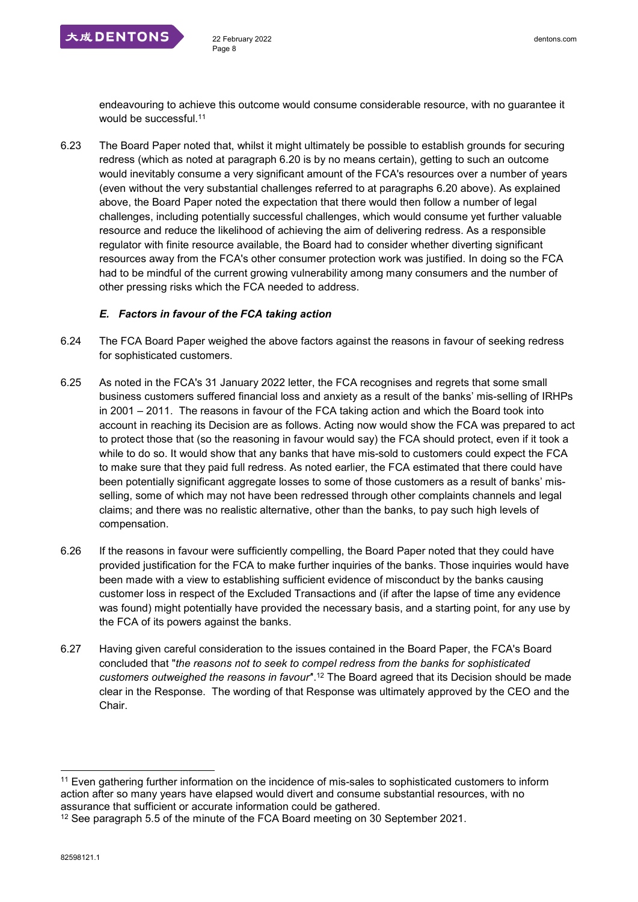

endeavouring to achieve this outcome would consume considerable resource, with no guarantee it would be successful.<sup>11</sup>

6.23 The Board Paper noted that, whilst it might ultimately be possible to establish grounds for securing redress (which as noted at paragraph 6.20 is by no means certain), getting to such an outcome would inevitably consume a very significant amount of the FCA's resources over a number of years (even without the very substantial challenges referred to at paragraphs 6.20 above). As explained above, the Board Paper noted the expectation that there would then follow a number of legal challenges, including potentially successful challenges, which would consume yet further valuable resource and reduce the likelihood of achieving the aim of delivering redress. As a responsible regulator with finite resource available, the Board had to consider whether diverting significant resources away from the FCA's other consumer protection work was justified. In doing so the FCA had to be mindful of the current growing vulnerability among many consumers and the number of other pressing risks which the FCA needed to address.

# *E. Factors in favour of the FCA taking action*

- 6.24 The FCA Board Paper weighed the above factors against the reasons in favour of seeking redress for sophisticated customers.
- 6.25 As noted in the FCA's 31 January 2022 letter, the FCA recognises and regrets that some small business customers suffered financial loss and anxiety as a result of the banks' mis-selling of IRHPs in 2001 – 2011. The reasons in favour of the FCA taking action and which the Board took into account in reaching its Decision are as follows. Acting now would show the FCA was prepared to act to protect those that (so the reasoning in favour would say) the FCA should protect, even if it took a while to do so. It would show that any banks that have mis-sold to customers could expect the FCA to make sure that they paid full redress. As noted earlier, the FCA estimated that there could have been potentially significant aggregate losses to some of those customers as a result of banks' misselling, some of which may not have been redressed through other complaints channels and legal claims; and there was no realistic alternative, other than the banks, to pay such high levels of compensation.
- 6.26 If the reasons in favour were sufficiently compelling, the Board Paper noted that they could have provided justification for the FCA to make further inquiries of the banks. Those inquiries would have been made with a view to establishing sufficient evidence of misconduct by the banks causing customer loss in respect of the Excluded Transactions and (if after the lapse of time any evidence was found) might potentially have provided the necessary basis, and a starting point, for any use by the FCA of its powers against the banks.
- 6.27 Having given careful consideration to the issues contained in the Board Paper, the FCA's Board concluded that "*the reasons not to seek to compel redress from the banks for sophisticated customers outweighed the reasons in favour'*'.<sup>12</sup> The Board agreed that its Decision should be made clear in the Response. The wording of that Response was ultimately approved by the CEO and the Chair.

<sup>11</sup> Even gathering further information on the incidence of mis-sales to sophisticated customers to inform action after so many years have elapsed would divert and consume substantial resources, with no assurance that sufficient or accurate information could be gathered.

<sup>&</sup>lt;sup>12</sup> See paragraph 5.5 of the minute of the FCA Board meeting on 30 September 2021.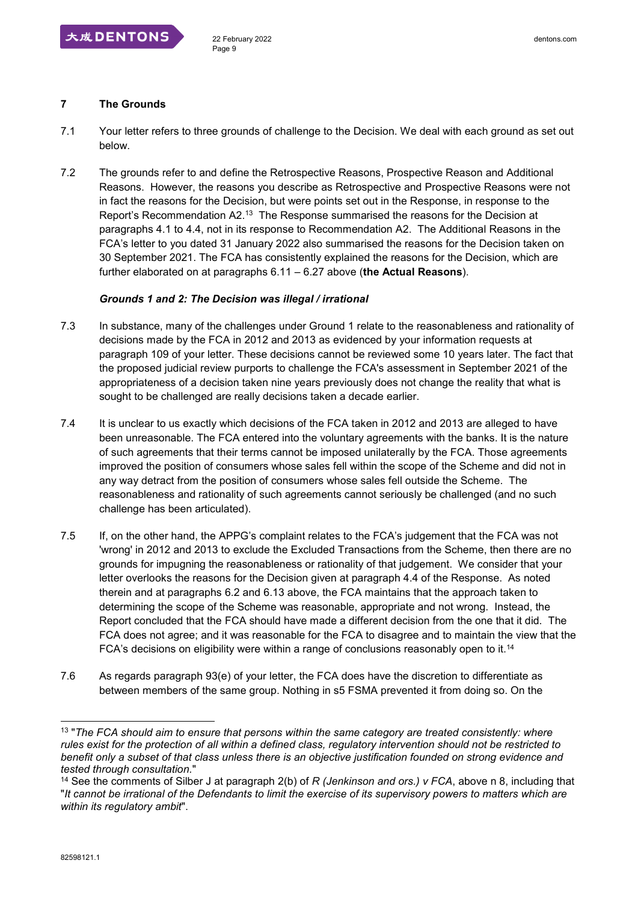

## **7 The Grounds**

- 7.1 Your letter refers to three grounds of challenge to the Decision. We deal with each ground as set out below.
- 7.2 The grounds refer to and define the Retrospective Reasons, Prospective Reason and Additional Reasons. However, the reasons you describe as Retrospective and Prospective Reasons were not in fact the reasons for the Decision, but were points set out in the Response, in response to the Report's Recommendation A2.<sup>13</sup> The Response summarised the reasons for the Decision at paragraphs 4.1 to 4.4, not in its response to Recommendation A2. The Additional Reasons in the FCA's letter to you dated 31 January 2022 also summarised the reasons for the Decision taken on 30 September 2021. The FCA has consistently explained the reasons for the Decision, which are further elaborated on at paragraphs 6.11 – 6.27 above (**the Actual Reasons**).

#### *Grounds 1 and 2: The Decision was illegal / irrational*

- 7.3 In substance, many of the challenges under Ground 1 relate to the reasonableness and rationality of decisions made by the FCA in 2012 and 2013 as evidenced by your information requests at paragraph 109 of your letter. These decisions cannot be reviewed some 10 years later. The fact that the proposed judicial review purports to challenge the FCA's assessment in September 2021 of the appropriateness of a decision taken nine years previously does not change the reality that what is sought to be challenged are really decisions taken a decade earlier.
- 7.4 It is unclear to us exactly which decisions of the FCA taken in 2012 and 2013 are alleged to have been unreasonable. The FCA entered into the voluntary agreements with the banks. It is the nature of such agreements that their terms cannot be imposed unilaterally by the FCA. Those agreements improved the position of consumers whose sales fell within the scope of the Scheme and did not in any way detract from the position of consumers whose sales fell outside the Scheme. The reasonableness and rationality of such agreements cannot seriously be challenged (and no such challenge has been articulated).
- 7.5 If, on the other hand, the APPG's complaint relates to the FCA's judgement that the FCA was not 'wrong' in 2012 and 2013 to exclude the Excluded Transactions from the Scheme, then there are no grounds for impugning the reasonableness or rationality of that judgement. We consider that your letter overlooks the reasons for the Decision given at paragraph 4.4 of the Response. As noted therein and at paragraphs 6.2 and 6.13 above, the FCA maintains that the approach taken to determining the scope of the Scheme was reasonable, appropriate and not wrong. Instead, the Report concluded that the FCA should have made a different decision from the one that it did. The FCA does not agree; and it was reasonable for the FCA to disagree and to maintain the view that the FCA's decisions on eligibility were within a range of conclusions reasonably open to it.<sup>14</sup>
- 7.6 As regards paragraph 93(e) of your letter, the FCA does have the discretion to differentiate as between members of the same group. Nothing in s5 FSMA prevented it from doing so. On the

<sup>13</sup> "*The FCA should aim to ensure that persons within the same category are treated consistently: where rules exist for the protection of all within a defined class, regulatory intervention should not be restricted to benefit only a subset of that class unless there is an objective justification founded on strong evidence and tested through consultation.*"

<sup>14</sup> See the comments of Silber J at paragraph 2(b) of *R (Jenkinson and ors.) v FCA*, above n 8, including that "*It cannot be irrational of the Defendants to limit the exercise of its supervisory powers to matters which are within its regulatory ambit*".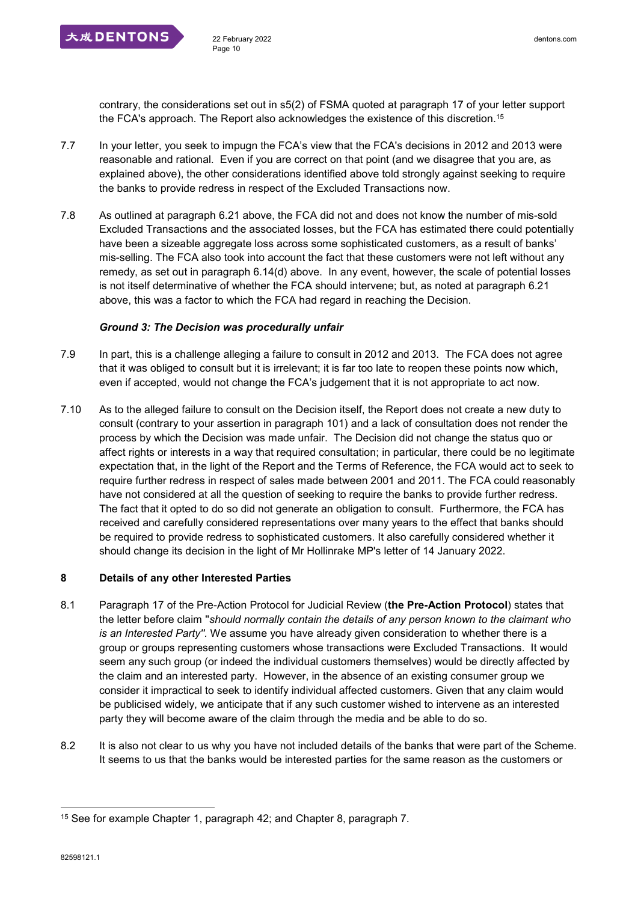

contrary, the considerations set out in s5(2) of FSMA quoted at paragraph 17 of your letter support the FCA's approach. The Report also acknowledges the existence of this discretion.<sup>15</sup>

- 7.7 In your letter, you seek to impugn the FCA's view that the FCA's decisions in 2012 and 2013 were reasonable and rational. Even if you are correct on that point (and we disagree that you are, as explained above), the other considerations identified above told strongly against seeking to require the banks to provide redress in respect of the Excluded Transactions now.
- 7.8 As outlined at paragraph 6.21 above, the FCA did not and does not know the number of mis-sold Excluded Transactions and the associated losses, but the FCA has estimated there could potentially have been a sizeable aggregate loss across some sophisticated customers, as a result of banks' mis-selling. The FCA also took into account the fact that these customers were not left without any remedy, as set out in paragraph 6.14(d) above. In any event, however, the scale of potential losses is not itself determinative of whether the FCA should intervene; but, as noted at paragraph 6.21 above, this was a factor to which the FCA had regard in reaching the Decision.

## *Ground 3: The Decision was procedurally unfair*

- 7.9 In part, this is a challenge alleging a failure to consult in 2012 and 2013. The FCA does not agree that it was obliged to consult but it is irrelevant; it is far too late to reopen these points now which, even if accepted, would not change the FCA's judgement that it is not appropriate to act now.
- 7.10 As to the alleged failure to consult on the Decision itself, the Report does not create a new duty to consult (contrary to your assertion in paragraph 101) and a lack of consultation does not render the process by which the Decision was made unfair. The Decision did not change the status quo or affect rights or interests in a way that required consultation; in particular, there could be no legitimate expectation that, in the light of the Report and the Terms of Reference, the FCA would act to seek to require further redress in respect of sales made between 2001 and 2011. The FCA could reasonably have not considered at all the question of seeking to require the banks to provide further redress. The fact that it opted to do so did not generate an obligation to consult. Furthermore, the FCA has received and carefully considered representations over many years to the effect that banks should be required to provide redress to sophisticated customers. It also carefully considered whether it should change its decision in the light of Mr Hollinrake MP's letter of 14 January 2022.

## **8 Details of any other Interested Parties**

- 8.1 Paragraph 17 of the Pre-Action Protocol for Judicial Review (**the Pre-Action Protocol**) states that the letter before claim ''*should normally contain the details of any person known to the claimant who is an Interested Party''.* We assume you have already given consideration to whether there is a group or groups representing customers whose transactions were Excluded Transactions. It would seem any such group (or indeed the individual customers themselves) would be directly affected by the claim and an interested party. However, in the absence of an existing consumer group we consider it impractical to seek to identify individual affected customers. Given that any claim would be publicised widely, we anticipate that if any such customer wished to intervene as an interested party they will become aware of the claim through the media and be able to do so.
- 8.2 It is also not clear to us why you have not included details of the banks that were part of the Scheme. It seems to us that the banks would be interested parties for the same reason as the customers or

<sup>1</sup> 15 See for example Chapter 1, paragraph 42; and Chapter 8, paragraph 7.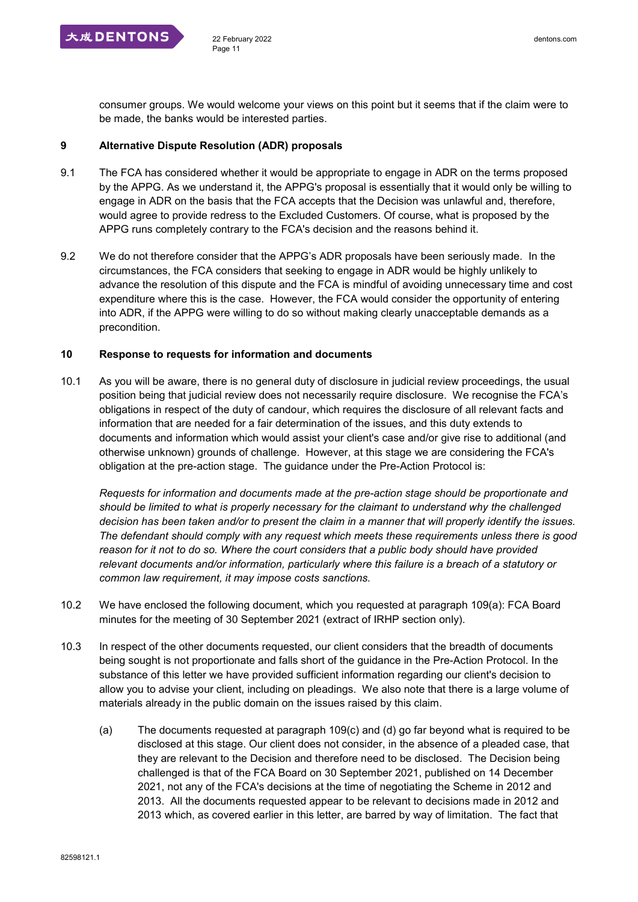consumer groups. We would welcome your views on this point but it seems that if the claim were to be made, the banks would be interested parties.

#### **9 Alternative Dispute Resolution (ADR) proposals**

- 9.1 The FCA has considered whether it would be appropriate to engage in ADR on the terms proposed by the APPG. As we understand it, the APPG's proposal is essentially that it would only be willing to engage in ADR on the basis that the FCA accepts that the Decision was unlawful and, therefore, would agree to provide redress to the Excluded Customers. Of course, what is proposed by the APPG runs completely contrary to the FCA's decision and the reasons behind it.
- 9.2 We do not therefore consider that the APPG's ADR proposals have been seriously made. In the circumstances, the FCA considers that seeking to engage in ADR would be highly unlikely to advance the resolution of this dispute and the FCA is mindful of avoiding unnecessary time and cost expenditure where this is the case. However, the FCA would consider the opportunity of entering into ADR, if the APPG were willing to do so without making clearly unacceptable demands as a precondition.

#### **10 Response to requests for information and documents**

10.1 As you will be aware, there is no general duty of disclosure in judicial review proceedings, the usual position being that judicial review does not necessarily require disclosure. We recognise the FCA's obligations in respect of the duty of candour, which requires the disclosure of all relevant facts and information that are needed for a fair determination of the issues, and this duty extends to documents and information which would assist your client's case and/or give rise to additional (and otherwise unknown) grounds of challenge. However, at this stage we are considering the FCA's obligation at the pre-action stage. The guidance under the Pre-Action Protocol is:

*Requests for information and documents made at the pre-action stage should be proportionate and should be limited to what is properly necessary for the claimant to understand why the challenged decision has been taken and/or to present the claim in a manner that will properly identify the issues. The defendant should comply with any request which meets these requirements unless there is good reason for it not to do so. Where the court considers that a public body should have provided relevant documents and/or information, particularly where this failure is a breach of a statutory or common law requirement, it may impose costs sanctions.*

- 10.2 We have enclosed the following document, which you requested at paragraph 109(a): FCA Board minutes for the meeting of 30 September 2021 (extract of IRHP section only).
- 10.3 In respect of the other documents requested, our client considers that the breadth of documents being sought is not proportionate and falls short of the guidance in the Pre-Action Protocol. In the substance of this letter we have provided sufficient information regarding our client's decision to allow you to advise your client, including on pleadings. We also note that there is a large volume of materials already in the public domain on the issues raised by this claim.
	- (a) The documents requested at paragraph 109(c) and (d) go far beyond what is required to be disclosed at this stage. Our client does not consider, in the absence of a pleaded case, that they are relevant to the Decision and therefore need to be disclosed. The Decision being challenged is that of the FCA Board on 30 September 2021, published on 14 December 2021, not any of the FCA's decisions at the time of negotiating the Scheme in 2012 and 2013. All the documents requested appear to be relevant to decisions made in 2012 and 2013 which, as covered earlier in this letter, are barred by way of limitation. The fact that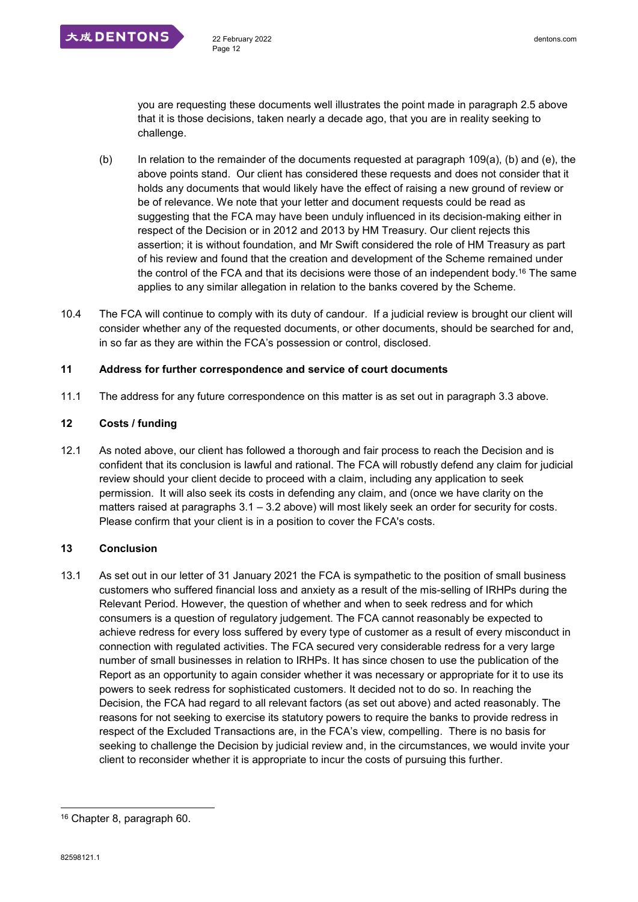you are requesting these documents well illustrates the point made in paragraph 2.5 above that it is those decisions, taken nearly a decade ago, that you are in reality seeking to challenge.

- (b) In relation to the remainder of the documents requested at paragraph 109(a), (b) and (e), the above points stand. Our client has considered these requests and does not consider that it holds any documents that would likely have the effect of raising a new ground of review or be of relevance. We note that your letter and document requests could be read as suggesting that the FCA may have been unduly influenced in its decision-making either in respect of the Decision or in 2012 and 2013 by HM Treasury. Our client rejects this assertion; it is without foundation, and Mr Swift considered the role of HM Treasury as part of his review and found that the creation and development of the Scheme remained under the control of the FCA and that its decisions were those of an independent body.<sup>16</sup> The same applies to any similar allegation in relation to the banks covered by the Scheme.
- 10.4 The FCA will continue to comply with its duty of candour. If a judicial review is brought our client will consider whether any of the requested documents, or other documents, should be searched for and, in so far as they are within the FCA's possession or control, disclosed.

## **11 Address for further correspondence and service of court documents**

11.1 The address for any future correspondence on this matter is as set out in paragraph 3.3 above.

# **12 Costs / funding**

12.1 As noted above, our client has followed a thorough and fair process to reach the Decision and is confident that its conclusion is lawful and rational. The FCA will robustly defend any claim for judicial review should your client decide to proceed with a claim, including any application to seek permission. It will also seek its costs in defending any claim, and (once we have clarity on the matters raised at paragraphs 3.1 – 3.2 above) will most likely seek an order for security for costs. Please confirm that your client is in a position to cover the FCA's costs.

# **13 Conclusion**

13.1 As set out in our letter of 31 January 2021 the FCA is sympathetic to the position of small business customers who suffered financial loss and anxiety as a result of the mis-selling of IRHPs during the Relevant Period. However, the question of whether and when to seek redress and for which consumers is a question of regulatory judgement. The FCA cannot reasonably be expected to achieve redress for every loss suffered by every type of customer as a result of every misconduct in connection with regulated activities. The FCA secured very considerable redress for a very large number of small businesses in relation to IRHPs. It has since chosen to use the publication of the Report as an opportunity to again consider whether it was necessary or appropriate for it to use its powers to seek redress for sophisticated customers. It decided not to do so. In reaching the Decision, the FCA had regard to all relevant factors (as set out above) and acted reasonably. The reasons for not seeking to exercise its statutory powers to require the banks to provide redress in respect of the Excluded Transactions are, in the FCA's view, compelling. There is no basis for seeking to challenge the Decision by judicial review and, in the circumstances, we would invite your client to reconsider whether it is appropriate to incur the costs of pursuing this further.

<sup>16</sup> Chapter 8, paragraph 60.